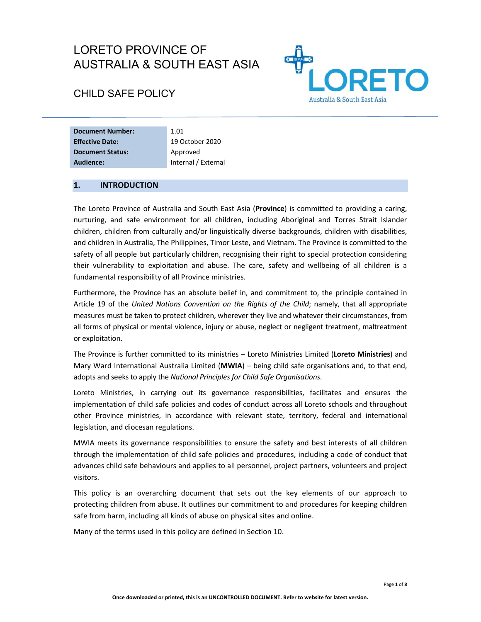# LORETO PROVINCE OF AUSTRALIA & SOUTH EAST ASIA



# CHILD SAFE POLICY

| <b>Document Number:</b> | 1.01                |
|-------------------------|---------------------|
| <b>Effective Date:</b>  | 19 October 2020     |
| <b>Document Status:</b> | Approved            |
| Audience:               | Internal / External |

# **1. INTRODUCTION**

The Loreto Province of Australia and South East Asia (**Province**) is committed to providing a caring, nurturing, and safe environment for all children, including Aboriginal and Torres Strait Islander children, children from culturally and/or linguistically diverse backgrounds, children with disabilities, and children in Australia, The Philippines, Timor Leste, and Vietnam. The Province is committed to the safety of all people but particularly children, recognising their right to special protection considering their vulnerability to exploitation and abuse. The care, safety and wellbeing of all children is a fundamental responsibility of all Province ministries.

Furthermore, the Province has an absolute belief in, and commitment to, the principle contained in Article 19 of the *United Nations Convention on the Rights of the Child*; namely, that all appropriate measures must be taken to protect children, wherever they live and whatever their circumstances, from all forms of physical or mental violence, injury or abuse, neglect or negligent treatment, maltreatment or exploitation.

The Province is further committed to its ministries – Loreto Ministries Limited (**Loreto Ministries**) and Mary Ward International Australia Limited (**MWIA**) – being child safe organisations and, to that end, adopts and seeks to apply the *National Principles for Child Safe Organisations*.

Loreto Ministries, in carrying out its governance responsibilities, facilitates and ensures the implementation of child safe policies and codes of conduct across all Loreto schools and throughout other Province ministries, in accordance with relevant state, territory, federal and international legislation, and diocesan regulations.

MWIA meets its governance responsibilities to ensure the safety and best interests of all children through the implementation of child safe policies and procedures, including a code of conduct that advances child safe behaviours and applies to all personnel, project partners, volunteers and project visitors.

This policy is an overarching document that sets out the key elements of our approach to protecting children from abuse. It outlines our commitment to and procedures for keeping children safe from harm, including all kinds of abuse on physical sites and online.

Many of the terms used in this policy are defined in Section 10.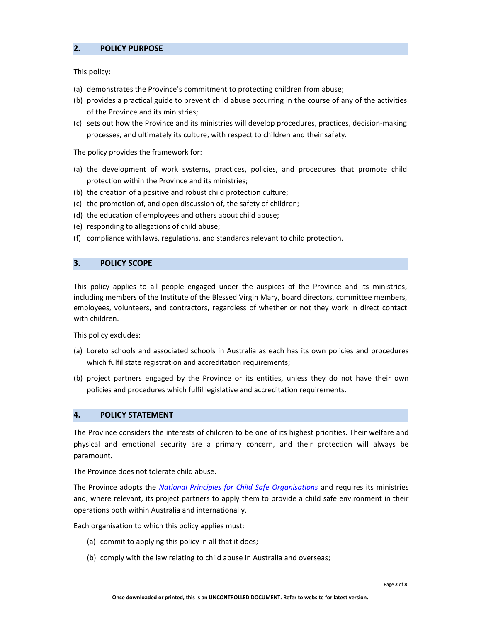### **2. POLICY PURPOSE**

This policy:

- (a) demonstrates the Province's commitment to protecting children from abuse;
- (b) provides a practical guide to prevent child abuse occurring in the course of any of the activities of the Province and its ministries;
- (c) sets out how the Province and its ministries will develop procedures, practices, decision‐making processes, and ultimately its culture, with respect to children and their safety.

The policy provides the framework for:

- (a) the development of work systems, practices, policies, and procedures that promote child protection within the Province and its ministries;
- (b) the creation of a positive and robust child protection culture;
- (c) the promotion of, and open discussion of, the safety of children;
- (d) the education of employees and others about child abuse;
- (e) responding to allegations of child abuse;
- (f) compliance with laws, regulations, and standards relevant to child protection.

#### **3. POLICY SCOPE**

This policy applies to all people engaged under the auspices of the Province and its ministries, including members of the Institute of the Blessed Virgin Mary, board directors, committee members, employees, volunteers, and contractors, regardless of whether or not they work in direct contact with children.

This policy excludes:

- (a) Loreto schools and associated schools in Australia as each has its own policies and procedures which fulfil state registration and accreditation requirements;
- (b) project partners engaged by the Province or its entities, unless they do not have their own policies and procedures which fulfil legislative and accreditation requirements.

#### **4. POLICY STATEMENT**

The Province considers the interests of children to be one of its highest priorities. Their welfare and physical and emotional security are a primary concern, and their protection will always be paramount.

The Province does not tolerate child abuse.

The Province adopts the *National Principles for Child Safe Organisations* and requires its ministries and, where relevant, its project partners to apply them to provide a child safe environment in their operations both within Australia and internationally.

Each organisation to which this policy applies must:

- (a) commit to applying this policy in all that it does;
- (b) comply with the law relating to child abuse in Australia and overseas;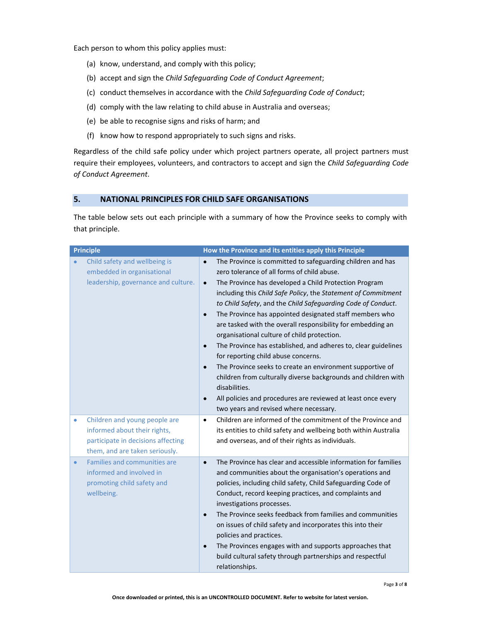Each person to whom this policy applies must:

- (a) know, understand, and comply with this policy;
- (b) accept and sign the *Child Safeguarding Code of Conduct Agreement*;
- (c) conduct themselves in accordance with the *Child Safeguarding Code of Conduct*;
- (d) comply with the law relating to child abuse in Australia and overseas;
- (e) be able to recognise signs and risks of harm; and
- (f) know how to respond appropriately to such signs and risks.

Regardless of the child safe policy under which project partners operate, all project partners must require their employees, volunteers, and contractors to accept and sign the *Child Safeguarding Code of Conduct Agreement*.

# **5. NATIONAL PRINCIPLES FOR CHILD SAFE ORGANISATIONS**

The table below sets out each principle with a summary of how the Province seeks to comply with that principle.

| <b>Principle</b>                                                                                                                                                                                               | How the Province and its entities apply this Principle                                                                                                                                                                                                                                                                                                                                                                                                                                                                                                                                                                                                                                                                                                                                                                                                                                                                                                                                                                                                                                                                             |
|----------------------------------------------------------------------------------------------------------------------------------------------------------------------------------------------------------------|------------------------------------------------------------------------------------------------------------------------------------------------------------------------------------------------------------------------------------------------------------------------------------------------------------------------------------------------------------------------------------------------------------------------------------------------------------------------------------------------------------------------------------------------------------------------------------------------------------------------------------------------------------------------------------------------------------------------------------------------------------------------------------------------------------------------------------------------------------------------------------------------------------------------------------------------------------------------------------------------------------------------------------------------------------------------------------------------------------------------------------|
| Child safety and wellbeing is<br>embedded in organisational<br>leadership, governance and culture.<br>Children and young people are<br>۰<br>informed about their rights,<br>participate in decisions affecting | The Province is committed to safeguarding children and has<br>$\bullet$<br>zero tolerance of all forms of child abuse.<br>The Province has developed a Child Protection Program<br>$\bullet$<br>including this Child Safe Policy, the Statement of Commitment<br>to Child Safety, and the Child Safeguarding Code of Conduct.<br>The Province has appointed designated staff members who<br>$\bullet$<br>are tasked with the overall responsibility for embedding an<br>organisational culture of child protection.<br>The Province has established, and adheres to, clear guidelines<br>$\bullet$<br>for reporting child abuse concerns.<br>The Province seeks to create an environment supportive of<br>$\bullet$<br>children from culturally diverse backgrounds and children with<br>disabilities.<br>All policies and procedures are reviewed at least once every<br>$\bullet$<br>two years and revised where necessary.<br>Children are informed of the commitment of the Province and<br>$\bullet$<br>its entities to child safety and wellbeing both within Australia<br>and overseas, and of their rights as individuals. |
| them, and are taken seriously.<br>Families and communities are<br>$\bullet$<br>informed and involved in<br>promoting child safety and<br>wellbeing.                                                            | The Province has clear and accessible information for families<br>$\bullet$<br>and communities about the organisation's operations and<br>policies, including child safety, Child Safeguarding Code of<br>Conduct, record keeping practices, and complaints and<br>investigations processes.<br>The Province seeks feedback from families and communities<br>$\bullet$<br>on issues of child safety and incorporates this into their<br>policies and practices.<br>The Provinces engages with and supports approaches that<br>$\bullet$<br>build cultural safety through partnerships and respectful<br>relationships.                                                                                                                                                                                                                                                                                                                                                                                                                                                                                                             |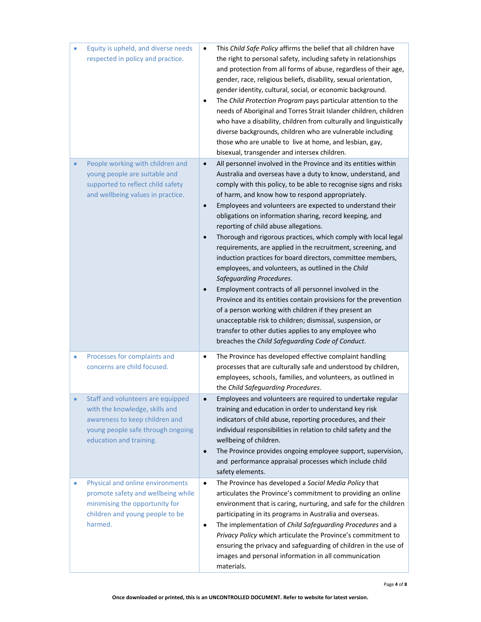| ۰         | Equity is upheld, and diverse needs<br>respected in policy and practice.                                                                                              | This Child Safe Policy affirms the belief that all children have<br>$\bullet$<br>the right to personal safety, including safety in relationships<br>and protection from all forms of abuse, regardless of their age,<br>gender, race, religious beliefs, disability, sexual orientation,<br>gender identity, cultural, social, or economic background.<br>The Child Protection Program pays particular attention to the<br>$\bullet$<br>needs of Aboriginal and Torres Strait Islander children, children<br>who have a disability, children from culturally and linguistically<br>diverse backgrounds, children who are vulnerable including<br>those who are unable to live at home, and lesbian, gay,<br>bisexual, transgender and intersex children.                                                                                                                                                                                                                                                                                                                                                                  |
|-----------|-----------------------------------------------------------------------------------------------------------------------------------------------------------------------|---------------------------------------------------------------------------------------------------------------------------------------------------------------------------------------------------------------------------------------------------------------------------------------------------------------------------------------------------------------------------------------------------------------------------------------------------------------------------------------------------------------------------------------------------------------------------------------------------------------------------------------------------------------------------------------------------------------------------------------------------------------------------------------------------------------------------------------------------------------------------------------------------------------------------------------------------------------------------------------------------------------------------------------------------------------------------------------------------------------------------|
| $\bullet$ | People working with children and<br>young people are suitable and<br>supported to reflect child safety<br>and wellbeing values in practice.                           | All personnel involved in the Province and its entities within<br>$\bullet$<br>Australia and overseas have a duty to know, understand, and<br>comply with this policy, to be able to recognise signs and risks<br>of harm, and know how to respond appropriately.<br>Employees and volunteers are expected to understand their<br>$\bullet$<br>obligations on information sharing, record keeping, and<br>reporting of child abuse allegations.<br>Thorough and rigorous practices, which comply with local legal<br>$\bullet$<br>requirements, are applied in the recruitment, screening, and<br>induction practices for board directors, committee members,<br>employees, and volunteers, as outlined in the Child<br>Safeguarding Procedures.<br>Employment contracts of all personnel involved in the<br>$\bullet$<br>Province and its entities contain provisions for the prevention<br>of a person working with children if they present an<br>unacceptable risk to children; dismissal, suspension, or<br>transfer to other duties applies to any employee who<br>breaches the Child Safeguarding Code of Conduct. |
| ۰         | Processes for complaints and<br>concerns are child focused.                                                                                                           | The Province has developed effective complaint handling<br>$\bullet$<br>processes that are culturally safe and understood by children,<br>employees, schools, families, and volunteers, as outlined in<br>the Child Safeguarding Procedures.                                                                                                                                                                                                                                                                                                                                                                                                                                                                                                                                                                                                                                                                                                                                                                                                                                                                              |
|           | Staff and volunteers are equipped<br>with the knowledge, skills and<br>awareness to keep children and<br>young people safe through ongoing<br>education and training. | Employees and volunteers are required to undertake regular<br>٠<br>training and education in order to understand key risk<br>indicators of child abuse, reporting procedures, and their<br>individual responsibilities in relation to child safety and the<br>wellbeing of children.<br>The Province provides ongoing employee support, supervision,<br>$\bullet$<br>and performance appraisal processes which include child<br>safety elements.                                                                                                                                                                                                                                                                                                                                                                                                                                                                                                                                                                                                                                                                          |
| ۰         | Physical and online environments<br>promote safety and wellbeing while<br>minimising the opportunity for<br>children and young people to be<br>harmed.                | The Province has developed a Social Media Policy that<br>$\bullet$<br>articulates the Province's commitment to providing an online<br>environment that is caring, nurturing, and safe for the children<br>participating in its programs in Australia and overseas.<br>The implementation of Child Safeguarding Procedures and a<br>$\bullet$<br>Privacy Policy which articulate the Province's commitment to<br>ensuring the privacy and safeguarding of children in the use of<br>images and personal information in all communication<br>materials.                                                                                                                                                                                                                                                                                                                                                                                                                                                                                                                                                                     |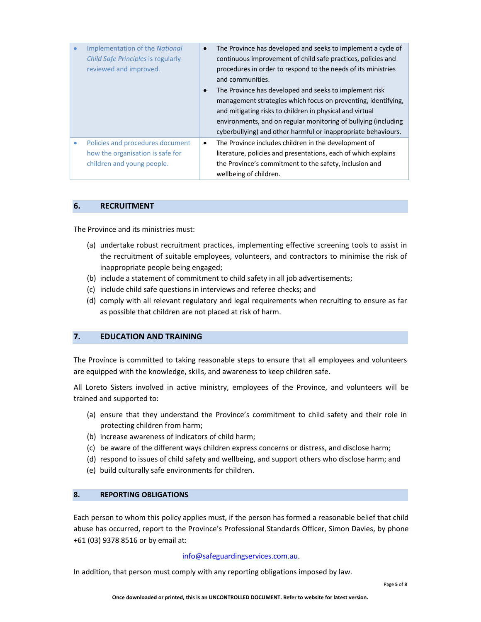|   | <b>Implementation of the National</b><br>Child Safe Principles is regularly<br>reviewed and improved. | The Province has developed and seeks to implement a cycle of<br>$\bullet$<br>continuous improvement of child safe practices, policies and<br>procedures in order to respond to the needs of its ministries<br>and communities.<br>The Province has developed and seeks to implement risk<br>$\bullet$<br>management strategies which focus on preventing, identifying,<br>and mitigating risks to children in physical and virtual<br>environments, and on regular monitoring of bullying (including<br>cyberbullying) and other harmful or inappropriate behaviours. |
|---|-------------------------------------------------------------------------------------------------------|-----------------------------------------------------------------------------------------------------------------------------------------------------------------------------------------------------------------------------------------------------------------------------------------------------------------------------------------------------------------------------------------------------------------------------------------------------------------------------------------------------------------------------------------------------------------------|
| ۰ | Policies and procedures document<br>how the organisation is safe for                                  | The Province includes children in the development of<br>٠<br>literature, policies and presentations, each of which explains                                                                                                                                                                                                                                                                                                                                                                                                                                           |
|   | children and young people.                                                                            | the Province's commitment to the safety, inclusion and                                                                                                                                                                                                                                                                                                                                                                                                                                                                                                                |
|   |                                                                                                       | wellbeing of children.                                                                                                                                                                                                                                                                                                                                                                                                                                                                                                                                                |

#### **6. RECRUITMENT**

The Province and its ministries must:

- (a) undertake robust recruitment practices, implementing effective screening tools to assist in the recruitment of suitable employees, volunteers, and contractors to minimise the risk of inappropriate people being engaged;
- (b) include a statement of commitment to child safety in all job advertisements;
- (c) include child safe questions in interviews and referee checks; and
- (d) comply with all relevant regulatory and legal requirements when recruiting to ensure as far as possible that children are not placed at risk of harm.

# **7. EDUCATION AND TRAINING**

The Province is committed to taking reasonable steps to ensure that all employees and volunteers are equipped with the knowledge, skills, and awareness to keep children safe.

All Loreto Sisters involved in active ministry, employees of the Province, and volunteers will be trained and supported to:

- (a) ensure that they understand the Province's commitment to child safety and their role in protecting children from harm;
- (b) increase awareness of indicators of child harm;
- (c) be aware of the different ways children express concerns or distress, and disclose harm;
- (d) respond to issues of child safety and wellbeing, and support others who disclose harm; and
- (e) build culturally safe environments for children.

#### **8. REPORTING OBLIGATIONS**

Each person to whom this policy applies must, if the person has formed a reasonable belief that child abuse has occurred, report to the Province's Professional Standards Officer, Simon Davies, by phone +61 (03) 9378 8516 or by email at:

#### info@safeguardingservices.com.au.

In addition, that person must comply with any reporting obligations imposed by law.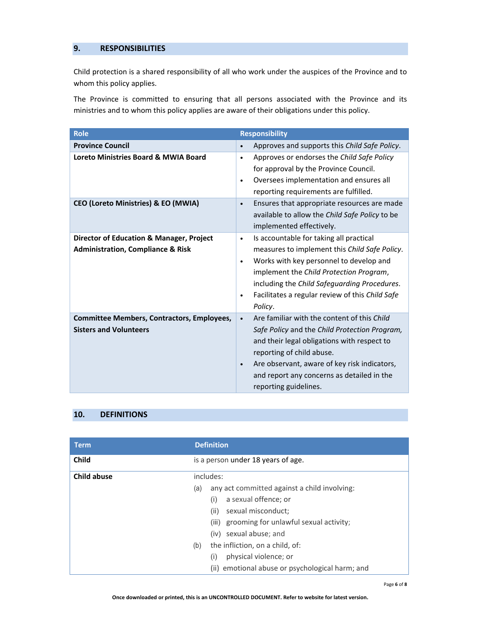# **9. RESPONSIBILITIES**

Child protection is a shared responsibility of all who work under the auspices of the Province and to whom this policy applies.

The Province is committed to ensuring that all persons associated with the Province and its ministries and to whom this policy applies are aware of their obligations under this policy.

| Role                                                                               | <b>Responsibility</b>                                                                                                                                                                                                                                                                                                     |
|------------------------------------------------------------------------------------|---------------------------------------------------------------------------------------------------------------------------------------------------------------------------------------------------------------------------------------------------------------------------------------------------------------------------|
| <b>Province Council</b>                                                            | Approves and supports this Child Safe Policy.                                                                                                                                                                                                                                                                             |
| Loreto Ministries Board & MWIA Board                                               | Approves or endorses the Child Safe Policy<br>$\bullet$<br>for approval by the Province Council.<br>Oversees implementation and ensures all<br>$\bullet$<br>reporting requirements are fulfilled.                                                                                                                         |
| CEO (Loreto Ministries) & EO (MWIA)                                                | Ensures that appropriate resources are made<br>$\bullet$<br>available to allow the Child Safe Policy to be<br>implemented effectively.                                                                                                                                                                                    |
| <b>Director of Education &amp; Manager, Project</b>                                | Is accountable for taking all practical<br>$\bullet$                                                                                                                                                                                                                                                                      |
| <b>Administration, Compliance &amp; Risk</b>                                       | measures to implement this Child Safe Policy.<br>Works with key personnel to develop and<br>$\bullet$<br>implement the Child Protection Program,<br>including the Child Safeguarding Procedures.<br>Facilitates a regular review of this Child Safe<br>$\bullet$<br>Policy.                                               |
| <b>Committee Members, Contractors, Employees,</b><br><b>Sisters and Volunteers</b> | Are familiar with the content of this Child<br>$\bullet$<br>Safe Policy and the Child Protection Program,<br>and their legal obligations with respect to<br>reporting of child abuse.<br>Are observant, aware of key risk indicators,<br>$\bullet$<br>and report any concerns as detailed in the<br>reporting guidelines. |

# **10. DEFINITIONS**

| <b>Term</b>        | <b>Definition</b>                                   |
|--------------------|-----------------------------------------------------|
| <b>Child</b>       | is a person under 18 years of age.                  |
| <b>Child abuse</b> | includes:                                           |
|                    | any act committed against a child involving:<br>(a) |
|                    | a sexual offence; or<br>(i)                         |
|                    | sexual misconduct;<br>(ii)                          |
|                    | grooming for unlawful sexual activity;<br>(iii)     |
|                    | (iv) sexual abuse; and                              |
|                    | the infliction, on a child, of:<br>(b)              |
|                    | physical violence; or<br>(i)                        |
|                    | (ii) emotional abuse or psychological harm; and     |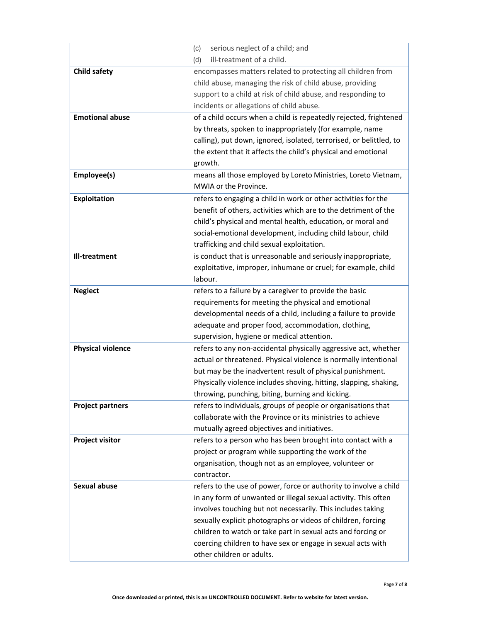|                          | serious neglect of a child; and<br>(c)                              |
|--------------------------|---------------------------------------------------------------------|
|                          | ill-treatment of a child.<br>(d)                                    |
| <b>Child safety</b>      | encompasses matters related to protecting all children from         |
|                          | child abuse, managing the risk of child abuse, providing            |
|                          | support to a child at risk of child abuse, and responding to        |
|                          | incidents or allegations of child abuse.                            |
| <b>Emotional abuse</b>   | of a child occurs when a child is repeatedly rejected, frightened   |
|                          | by threats, spoken to inappropriately (for example, name            |
|                          | calling), put down, ignored, isolated, terrorised, or belittled, to |
|                          | the extent that it affects the child's physical and emotional       |
|                          | growth.                                                             |
| Employee(s)              | means all those employed by Loreto Ministries, Loreto Vietnam,      |
|                          | MWIA or the Province.                                               |
| Exploitation             | refers to engaging a child in work or other activities for the      |
|                          | benefit of others, activities which are to the detriment of the     |
|                          | child's physical and mental health, education, or moral and         |
|                          | social-emotional development, including child labour, child         |
|                          | trafficking and child sexual exploitation.                          |
| Ill-treatment            | is conduct that is unreasonable and seriously inappropriate,        |
|                          | exploitative, improper, inhumane or cruel; for example, child       |
|                          | labour.                                                             |
| <b>Neglect</b>           | refers to a failure by a caregiver to provide the basic             |
|                          | requirements for meeting the physical and emotional                 |
|                          | developmental needs of a child, including a failure to provide      |
|                          | adequate and proper food, accommodation, clothing,                  |
|                          | supervision, hygiene or medical attention.                          |
| <b>Physical violence</b> | refers to any non-accidental physically aggressive act, whether     |
|                          | actual or threatened. Physical violence is normally intentional     |
|                          | but may be the inadvertent result of physical punishment.           |
|                          | Physically violence includes shoving, hitting, slapping, shaking,   |
|                          | throwing, punching, biting, burning and kicking.                    |
| <b>Project partners</b>  | refers to individuals, groups of people or organisations that       |
|                          | collaborate with the Province or its ministries to achieve          |
|                          | mutually agreed objectives and initiatives.                         |
| <b>Project visitor</b>   | refers to a person who has been brought into contact with a         |
|                          | project or program while supporting the work of the                 |
|                          | organisation, though not as an employee, volunteer or               |
|                          | contractor.                                                         |
| <b>Sexual abuse</b>      | refers to the use of power, force or authority to involve a child   |
|                          | in any form of unwanted or illegal sexual activity. This often      |
|                          | involves touching but not necessarily. This includes taking         |
|                          | sexually explicit photographs or videos of children, forcing        |
|                          | children to watch or take part in sexual acts and forcing or        |
|                          | coercing children to have sex or engage in sexual acts with         |
|                          | other children or adults.                                           |